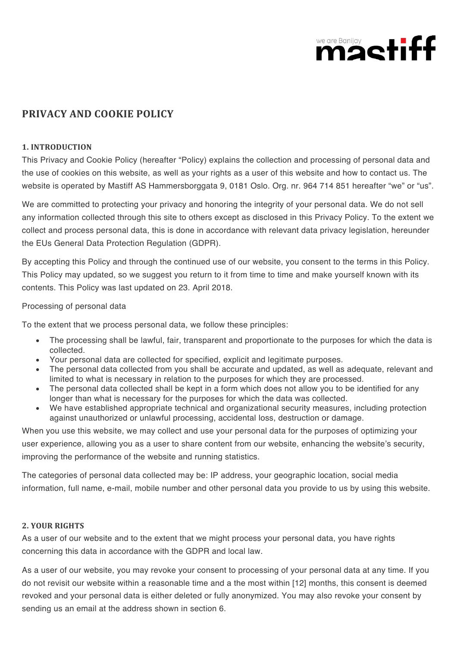

# **PRIVACY AND COOKIE POLICY**

### **1. INTRODUCTION**

This Privacy and Cookie Policy (hereafter "Policy) explains the collection and processing of personal data and the use of cookies on this website, as well as your rights as a user of this website and how to contact us. The website is operated by Mastiff AS Hammersborggata 9, 0181 Oslo. Org. nr. 964 714 851 hereafter "we" or "us".

We are committed to protecting your privacy and honoring the integrity of your personal data. We do not sell any information collected through this site to others except as disclosed in this Privacy Policy. To the extent we collect and process personal data, this is done in accordance with relevant data privacy legislation, hereunder the EUs General Data Protection Regulation (GDPR).

By accepting this Policy and through the continued use of our website, you consent to the terms in this Policy. This Policy may updated, so we suggest you return to it from time to time and make yourself known with its contents. This Policy was last updated on 23. April 2018.

#### Processing of personal data

To the extent that we process personal data, we follow these principles:

- The processing shall be lawful, fair, transparent and proportionate to the purposes for which the data is collected.
- Your personal data are collected for specified, explicit and legitimate purposes.
- The personal data collected from you shall be accurate and updated, as well as adequate, relevant and limited to what is necessary in relation to the purposes for which they are processed.
- The personal data collected shall be kept in a form which does not allow you to be identified for any longer than what is necessary for the purposes for which the data was collected.
- We have established appropriate technical and organizational security measures, including protection against unauthorized or unlawful processing, accidental loss, destruction or damage.

When you use this website, we may collect and use your personal data for the purposes of optimizing your user experience, allowing you as a user to share content from our website, enhancing the website's security, improving the performance of the website and running statistics.

The categories of personal data collected may be: IP address, your geographic location, social media information, full name, e-mail, mobile number and other personal data you provide to us by using this website.

# **2. YOUR RIGHTS**

As a user of our website and to the extent that we might process your personal data, you have rights concerning this data in accordance with the GDPR and local law.

As a user of our website, you may revoke your consent to processing of your personal data at any time. If you do not revisit our website within a reasonable time and a the most within [12] months, this consent is deemed revoked and your personal data is either deleted or fully anonymized. You may also revoke your consent by sending us an email at the address shown in section 6.